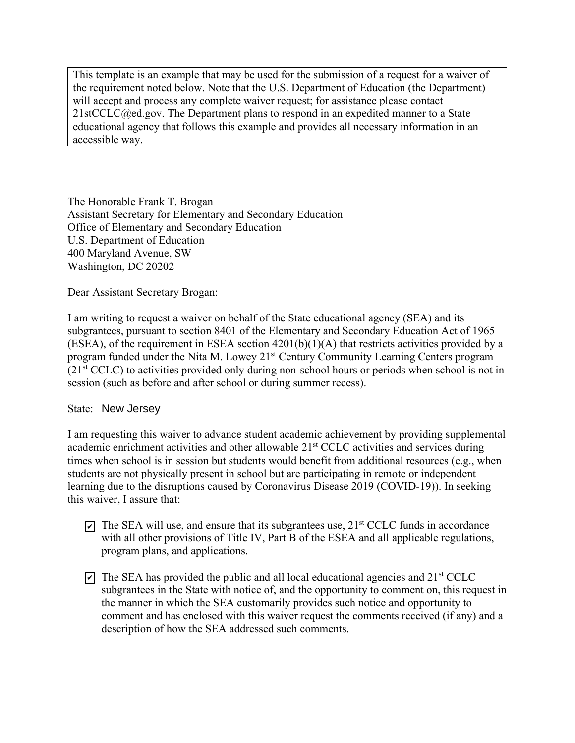This template is an example that may be used for the submission of a request for a waiver of the requirement noted below. Note that the U.S. Department of Education (the Department) will accept and process any complete waiver request; for assistance please contact  $21$ stCCLC $@ed.gov$ . The Department plans to respond in an expedited manner to a State educational agency that follows this example and provides all necessary information in an accessible way.

The Honorable Frank T. Brogan Assistant Secretary for Elementary and Secondary Education Office of Elementary and Secondary Education U.S. Department of Education 400 Maryland Avenue, SW Washington, DC 20202

Dear Assistant Secretary Brogan:

I am writing to request a waiver on behalf of the State educational agency (SEA) and its subgrantees, pursuant to section 8401 of the Elementary and Secondary Education Act of 1965 (ESEA), of the requirement in ESEA section 4201(b)(1)(A) that restricts activities provided by a program funded under the Nita M. Lowey 21<sup>st</sup> Century Community Learning Centers program (21st CCLC) to activities provided only during non-school hours or periods when school is not in session (such as before and after school or during summer recess).

## State: New Jersey

I am requesting this waiver to advance student academic achievement by providing supplemental academic enrichment activities and other allowable 21<sup>st</sup> CCLC activities and services during times when school is in session but students would benefit from additional resources (e.g., when students are not physically present in school but are participating in remote or independent learning due to the disruptions caused by Coronavirus Disease 2019 (COVID-19)). In seeking this waiver, I assure that:

- $\bar{p}$  The SEA will use, and ensure that its subgrantees use, 21<sup>st</sup> CCLC funds in accordance with all other provisions of Title IV, Part B of the ESEA and all applicable regulations, program plans, and applications.
- $\overline{Q}$  The SEA has provided the public and all local educational agencies and 21st CCLC subgrantees in the State with notice of, and the opportunity to comment on, this request in the manner in which the SEA customarily provides such notice and opportunity to comment and has enclosed with this waiver request the comments received (if any) and a description of how the SEA addressed such comments.